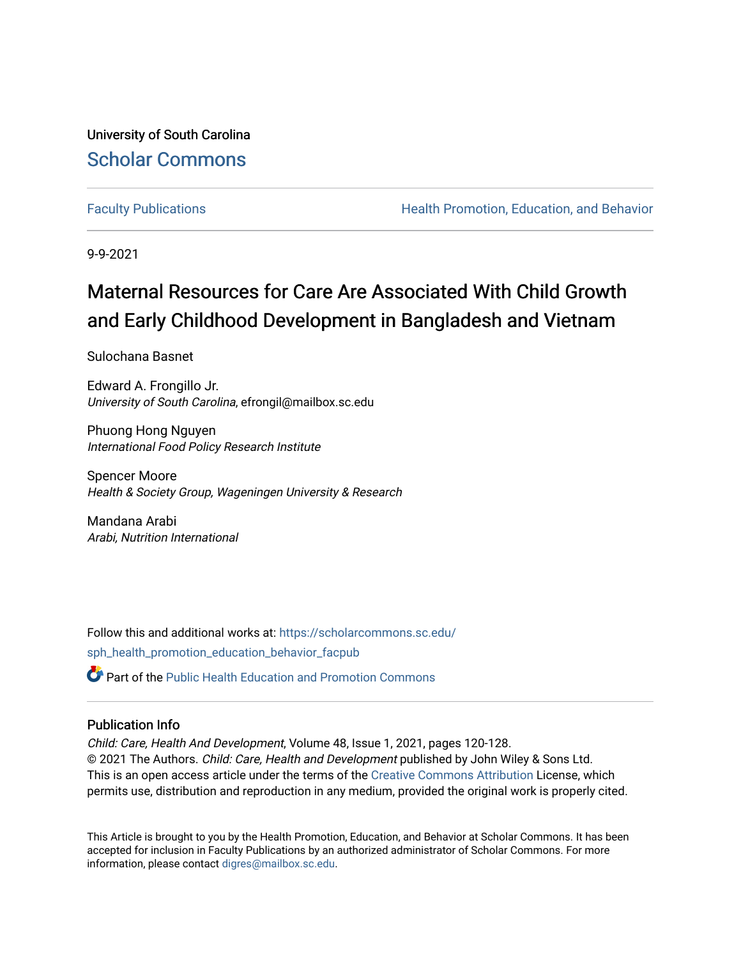University of South Carolina [Scholar Commons](https://scholarcommons.sc.edu/) 

[Faculty Publications](https://scholarcommons.sc.edu/sph_health_promotion_education_behavior_facpub) **Health Promotion, Education, and Behavior Health Promotion, Education, and Behavior** 

9-9-2021

## Maternal Resources for Care Are Associated With Child Growth and Early Childhood Development in Bangladesh and Vietnam

Sulochana Basnet

Edward A. Frongillo Jr. University of South Carolina, efrongil@mailbox.sc.edu

Phuong Hong Nguyen International Food Policy Research Institute

Spencer Moore Health & Society Group, Wageningen University & Research

Mandana Arabi Arabi, Nutrition International

Follow this and additional works at: [https://scholarcommons.sc.edu/](https://scholarcommons.sc.edu/sph_health_promotion_education_behavior_facpub?utm_source=scholarcommons.sc.edu%2Fsph_health_promotion_education_behavior_facpub%2F284&utm_medium=PDF&utm_campaign=PDFCoverPages) [sph\\_health\\_promotion\\_education\\_behavior\\_facpub](https://scholarcommons.sc.edu/sph_health_promotion_education_behavior_facpub?utm_source=scholarcommons.sc.edu%2Fsph_health_promotion_education_behavior_facpub%2F284&utm_medium=PDF&utm_campaign=PDFCoverPages)

**P** Part of the Public Health Education and Promotion Commons

### Publication Info

Child: Care, Health And Development, Volume 48, Issue 1, 2021, pages 120-128. © 2021 The Authors. Child: Care, Health and Development published by John Wiley & Sons Ltd. This is an open access article under the terms of the [Creative Commons Attribution](http://creativecommons.org/licenses/by/4.0/) License, which permits use, distribution and reproduction in any medium, provided the original work is properly cited.

This Article is brought to you by the Health Promotion, Education, and Behavior at Scholar Commons. It has been accepted for inclusion in Faculty Publications by an authorized administrator of Scholar Commons. For more information, please contact [digres@mailbox.sc.edu.](mailto:digres@mailbox.sc.edu)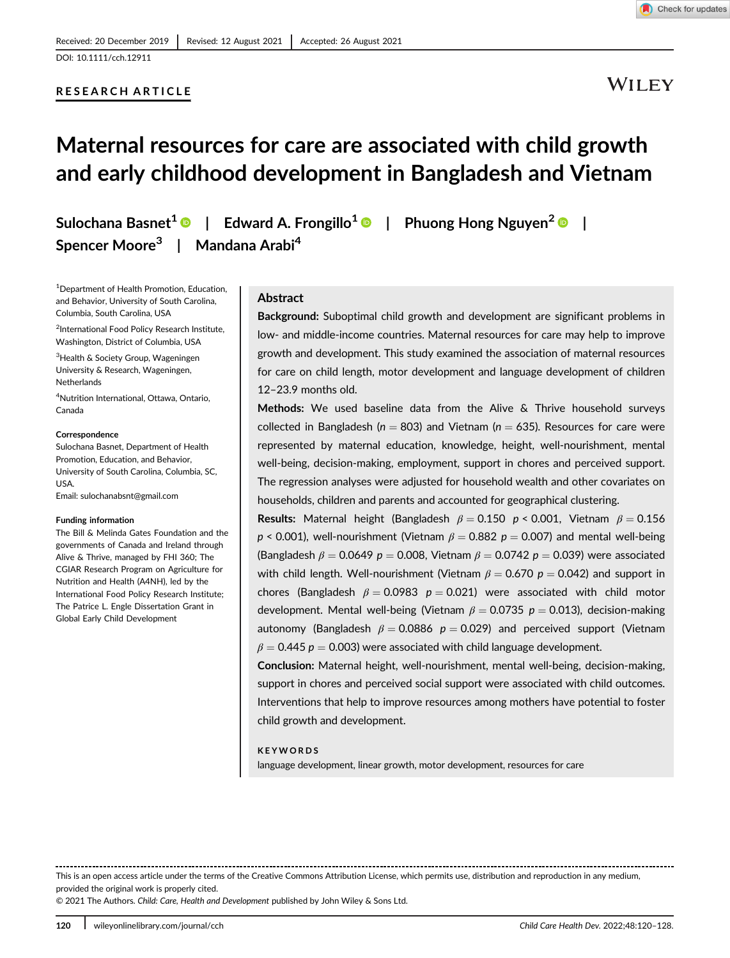## RESEARCH ARTICLE

## WILEY

# Maternal resources for care are associated with child growth and early childhood development in Bangladesh and Vietnam

Spencer Moore<sup>3</sup> | Mandana Arabi<sup>4</sup>

Sulochana Basnet<sup>1</sup> | Edward A. Frongillo<sup>1</sup> | Phuong Hong Nguyen<sup>2</sup> | |

1 Department of Health Promotion, Education, and Behavior, University of South Carolina, Columbia, South Carolina, USA

2 International Food Policy Research Institute, Washington, District of Columbia, USA

<sup>3</sup>Health & Society Group, Wageningen University & Research, Wageningen, **Netherlands** 

4 Nutrition International, Ottawa, Ontario, Canada

#### **Correspondence**

Sulochana Basnet, Department of Health Promotion, Education, and Behavior, University of South Carolina, Columbia, SC, **USA** Email: [sulochanabsnt@gmail.com](mailto:sulochanabsnt@gmail.com)

#### Funding information

The Bill & Melinda Gates Foundation and the governments of Canada and Ireland through Alive & Thrive, managed by FHI 360; The CGIAR Research Program on Agriculture for Nutrition and Health (A4NH), led by the International Food Policy Research Institute; The Patrice L. Engle Dissertation Grant in Global Early Child Development

#### **Abstract**

Background: Suboptimal child growth and development are significant problems in low- and middle-income countries. Maternal resources for care may help to improve growth and development. This study examined the association of maternal resources for care on child length, motor development and language development of children 12–23.9 months old.

Methods: We used baseline data from the Alive & Thrive household surveys collected in Bangladesh ( $n = 803$ ) and Vietnam ( $n = 635$ ). Resources for care were represented by maternal education, knowledge, height, well-nourishment, mental well-being, decision-making, employment, support in chores and perceived support. The regression analyses were adjusted for household wealth and other covariates on households, children and parents and accounted for geographical clustering.

Results: Maternal height (Bangladesh  $\beta = 0.150$  p < 0.001, Vietnam  $\beta = 0.156$  $p < 0.001$ ), well-nourishment (Vietnam  $\beta = 0.882$   $p = 0.007$ ) and mental well-being (Bangladesh  $\beta = 0.0649$  p = 0.008, Vietnam  $\beta = 0.0742$  p = 0.039) were associated with child length. Well-nourishment (Vietnam  $\beta = 0.670$  p = 0.042) and support in chores (Bangladesh  $\beta = 0.0983$  p = 0.021) were associated with child motor development. Mental well-being (Vietnam  $\beta = 0.0735$  p = 0.013), decision-making autonomy (Bangladesh  $\beta = 0.0886$  p = 0.029) and perceived support (Vietnam  $\beta = 0.445$  p = 0.003) were associated with child language development.

Conclusion: Maternal height, well-nourishment, mental well-being, decision-making, support in chores and perceived social support were associated with child outcomes. Interventions that help to improve resources among mothers have potential to foster child growth and development.

#### KEYWORDS

language development, linear growth, motor development, resources for care

This is an open access article under the terms of the [Creative Commons Attribution](http://creativecommons.org/licenses/by/4.0/) License, which permits use, distribution and reproduction in any medium, provided the original work is properly cited.

© 2021 The Authors. Child: Care, Health and Development published by John Wiley & Sons Ltd.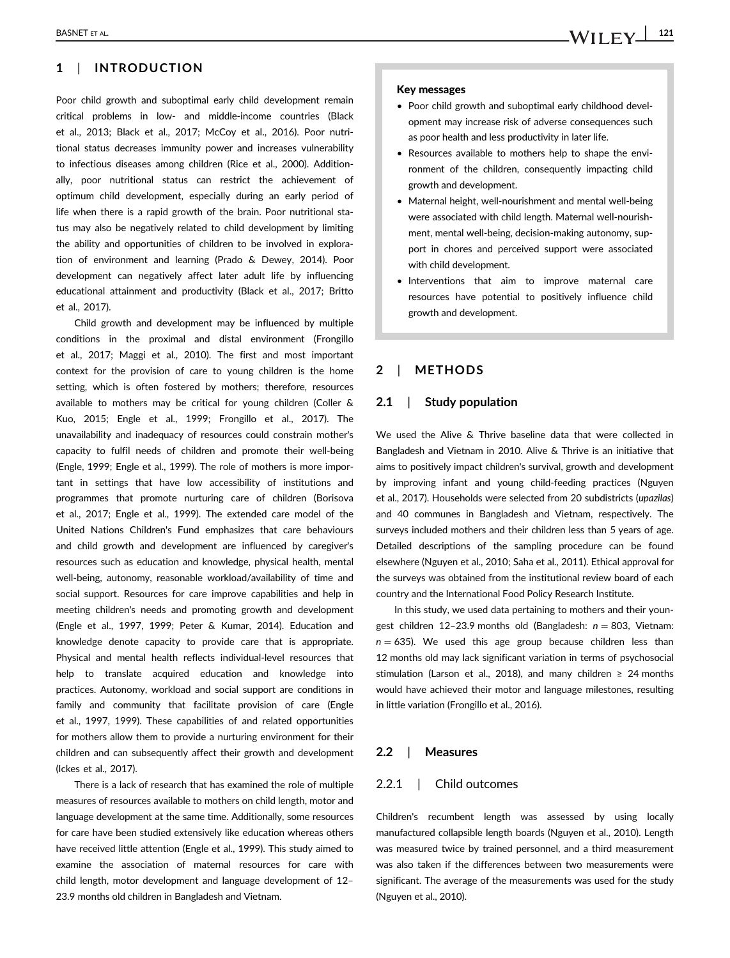### 1 | INTRODUCTION

Poor child growth and suboptimal early child development remain critical problems in low- and middle-income countries (Black et al., 2013; Black et al., 2017; McCoy et al., 2016). Poor nutritional status decreases immunity power and increases vulnerability to infectious diseases among children (Rice et al., 2000). Additionally, poor nutritional status can restrict the achievement of optimum child development, especially during an early period of life when there is a rapid growth of the brain. Poor nutritional status may also be negatively related to child development by limiting the ability and opportunities of children to be involved in exploration of environment and learning (Prado & Dewey, 2014). Poor development can negatively affect later adult life by influencing educational attainment and productivity (Black et al., 2017; Britto et al., 2017).

Child growth and development may be influenced by multiple conditions in the proximal and distal environment (Frongillo et al., 2017; Maggi et al., 2010). The first and most important context for the provision of care to young children is the home setting, which is often fostered by mothers; therefore, resources available to mothers may be critical for young children (Coller & Kuo, 2015; Engle et al., 1999; Frongillo et al., 2017). The unavailability and inadequacy of resources could constrain mother's capacity to fulfil needs of children and promote their well-being (Engle, 1999; Engle et al., 1999). The role of mothers is more important in settings that have low accessibility of institutions and programmes that promote nurturing care of children (Borisova et al., 2017; Engle et al., 1999). The extended care model of the United Nations Children's Fund emphasizes that care behaviours and child growth and development are influenced by caregiver's resources such as education and knowledge, physical health, mental well-being, autonomy, reasonable workload/availability of time and social support. Resources for care improve capabilities and help in meeting children's needs and promoting growth and development (Engle et al., 1997, 1999; Peter & Kumar, 2014). Education and knowledge denote capacity to provide care that is appropriate. Physical and mental health reflects individual-level resources that help to translate acquired education and knowledge into practices. Autonomy, workload and social support are conditions in family and community that facilitate provision of care (Engle et al., 1997, 1999). These capabilities of and related opportunities for mothers allow them to provide a nurturing environment for their children and can subsequently affect their growth and development (Ickes et al., 2017).

There is a lack of research that has examined the role of multiple measures of resources available to mothers on child length, motor and language development at the same time. Additionally, some resources for care have been studied extensively like education whereas others have received little attention (Engle et al., 1999). This study aimed to examine the association of maternal resources for care with child length, motor development and language development of 12– 23.9 months old children in Bangladesh and Vietnam.

- Poor child growth and suboptimal early childhood development may increase risk of adverse consequences such as poor health and less productivity in later life.
- Resources available to mothers help to shape the environment of the children, consequently impacting child growth and development.
- Maternal height, well-nourishment and mental well-being were associated with child length. Maternal well-nourishment, mental well-being, decision-making autonomy, support in chores and perceived support were associated with child development.
- Interventions that aim to improve maternal care resources have potential to positively influence child growth and development.

### 2 | METHODS

#### 2.1 | Study population

We used the Alive & Thrive baseline data that were collected in Bangladesh and Vietnam in 2010. Alive & Thrive is an initiative that aims to positively impact children's survival, growth and development by improving infant and young child-feeding practices (Nguyen et al., 2017). Households were selected from 20 subdistricts (upazilas) and 40 communes in Bangladesh and Vietnam, respectively. The surveys included mothers and their children less than 5 years of age. Detailed descriptions of the sampling procedure can be found elsewhere (Nguyen et al., 2010; Saha et al., 2011). Ethical approval for the surveys was obtained from the institutional review board of each country and the International Food Policy Research Institute.

In this study, we used data pertaining to mothers and their youngest children 12-23.9 months old (Bangladesh:  $n = 803$ , Vietnam:  $n = 635$ ). We used this age group because children less than 12 months old may lack significant variation in terms of psychosocial stimulation (Larson et al., 2018), and many children  $\geq$  24 months would have achieved their motor and language milestones, resulting in little variation (Frongillo et al., 2016).

#### 2.2 | Measures

#### 2.2.1 | Child outcomes

Children's recumbent length was assessed by using locally manufactured collapsible length boards (Nguyen et al., 2010). Length was measured twice by trained personnel, and a third measurement was also taken if the differences between two measurements were significant. The average of the measurements was used for the study (Nguyen et al., 2010).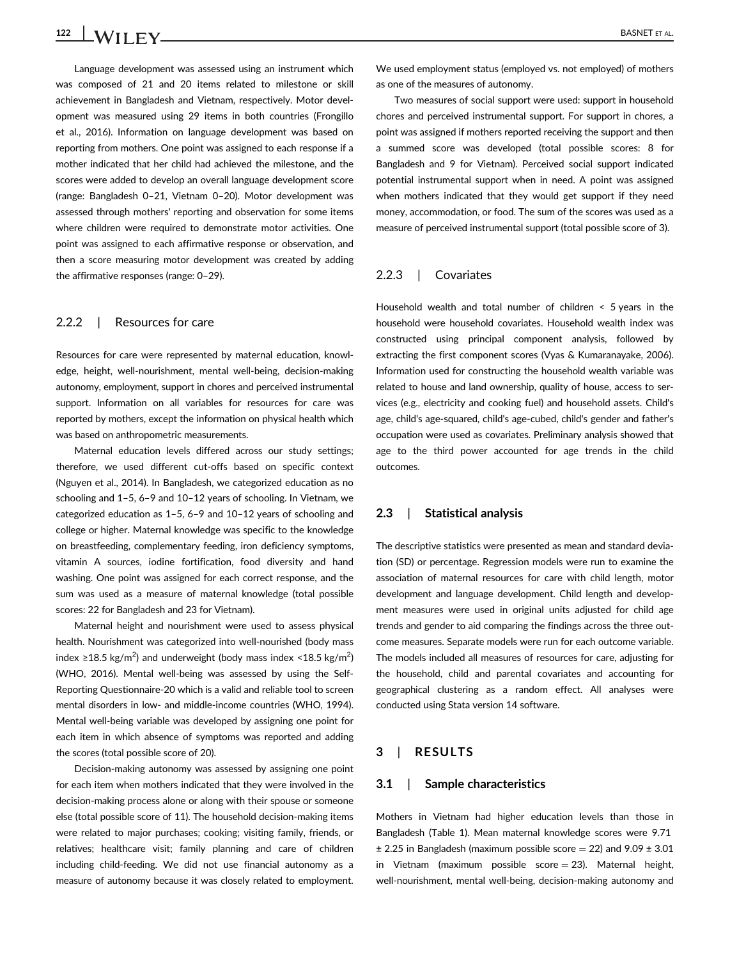Language development was assessed using an instrument which was composed of 21 and 20 items related to milestone or skill achievement in Bangladesh and Vietnam, respectively. Motor development was measured using 29 items in both countries (Frongillo et al., 2016). Information on language development was based on reporting from mothers. One point was assigned to each response if a mother indicated that her child had achieved the milestone, and the scores were added to develop an overall language development score (range: Bangladesh 0–21, Vietnam 0–20). Motor development was assessed through mothers' reporting and observation for some items where children were required to demonstrate motor activities. One point was assigned to each affirmative response or observation, and then a score measuring motor development was created by adding the affirmative responses (range: 0–29).

#### 2.2.2 | Resources for care

Resources for care were represented by maternal education, knowledge, height, well-nourishment, mental well-being, decision-making autonomy, employment, support in chores and perceived instrumental support. Information on all variables for resources for care was reported by mothers, except the information on physical health which was based on anthropometric measurements.

Maternal education levels differed across our study settings; therefore, we used different cut-offs based on specific context (Nguyen et al., 2014). In Bangladesh, we categorized education as no schooling and 1–5, 6–9 and 10–12 years of schooling. In Vietnam, we categorized education as 1–5, 6–9 and 10–12 years of schooling and college or higher. Maternal knowledge was specific to the knowledge on breastfeeding, complementary feeding, iron deficiency symptoms, vitamin A sources, iodine fortification, food diversity and hand washing. One point was assigned for each correct response, and the sum was used as a measure of maternal knowledge (total possible scores: 22 for Bangladesh and 23 for Vietnam).

Maternal height and nourishment were used to assess physical health. Nourishment was categorized into well-nourished (body mass index ≥18.5 kg/m<sup>2</sup>) and underweight (body mass index <18.5 kg/m<sup>2</sup>) (WHO, 2016). Mental well-being was assessed by using the Self-Reporting Questionnaire-20 which is a valid and reliable tool to screen mental disorders in low- and middle-income countries (WHO, 1994). Mental well-being variable was developed by assigning one point for each item in which absence of symptoms was reported and adding the scores (total possible score of 20).

Decision-making autonomy was assessed by assigning one point for each item when mothers indicated that they were involved in the decision-making process alone or along with their spouse or someone else (total possible score of 11). The household decision-making items were related to major purchases; cooking; visiting family, friends, or relatives; healthcare visit; family planning and care of children including child-feeding. We did not use financial autonomy as a measure of autonomy because it was closely related to employment.

We used employment status (employed vs. not employed) of mothers as one of the measures of autonomy.

Two measures of social support were used: support in household chores and perceived instrumental support. For support in chores, a point was assigned if mothers reported receiving the support and then a summed score was developed (total possible scores: 8 for Bangladesh and 9 for Vietnam). Perceived social support indicated potential instrumental support when in need. A point was assigned when mothers indicated that they would get support if they need money, accommodation, or food. The sum of the scores was used as a measure of perceived instrumental support (total possible score of 3).

#### 2.2.3 | Covariates

Household wealth and total number of children < 5 years in the household were household covariates. Household wealth index was constructed using principal component analysis, followed by extracting the first component scores (Vyas & Kumaranayake, 2006). Information used for constructing the household wealth variable was related to house and land ownership, quality of house, access to services (e.g., electricity and cooking fuel) and household assets. Child's age, child's age-squared, child's age-cubed, child's gender and father's occupation were used as covariates. Preliminary analysis showed that age to the third power accounted for age trends in the child outcomes.

#### 2.3 | Statistical analysis

The descriptive statistics were presented as mean and standard deviation (SD) or percentage. Regression models were run to examine the association of maternal resources for care with child length, motor development and language development. Child length and development measures were used in original units adjusted for child age trends and gender to aid comparing the findings across the three outcome measures. Separate models were run for each outcome variable. The models included all measures of resources for care, adjusting for the household, child and parental covariates and accounting for geographical clustering as a random effect. All analyses were conducted using Stata version 14 software.

#### 3 | RESULTS

#### 3.1 | Sample characteristics

Mothers in Vietnam had higher education levels than those in Bangladesh (Table 1). Mean maternal knowledge scores were 9.71  $\pm$  2.25 in Bangladesh (maximum possible score = 22) and 9.09  $\pm$  3.01 in Vietnam (maximum possible score  $= 23$ ). Maternal height, well-nourishment, mental well-being, decision-making autonomy and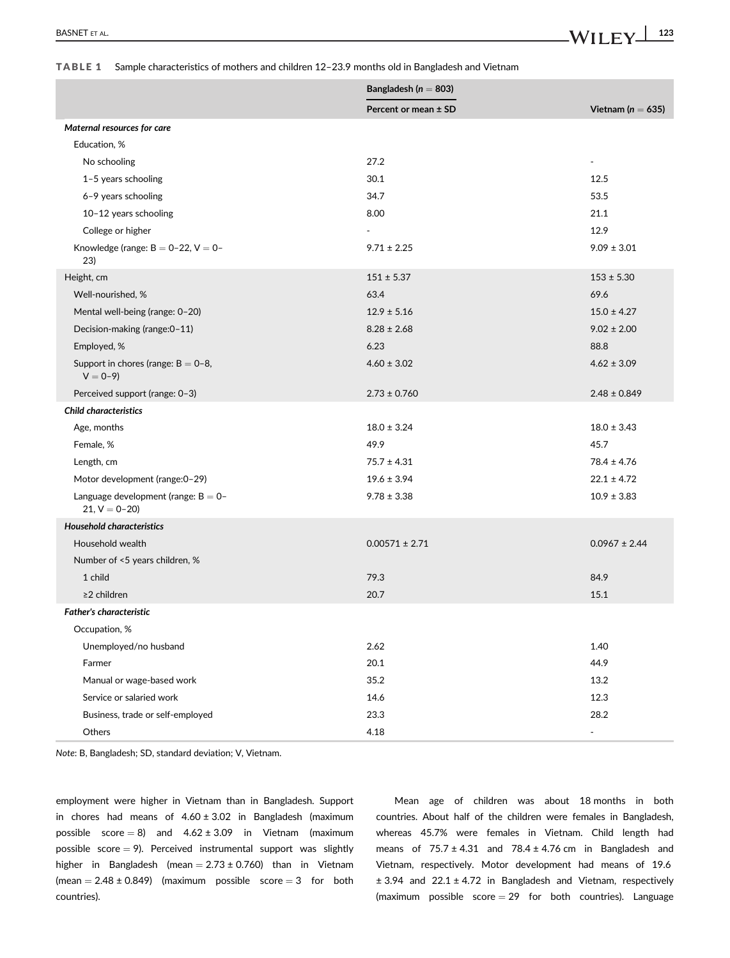## BASNET ET AL.  $\blacksquare$

#### TABLE 1 Sample characteristics of mothers and children 12–23.9 months old in Bangladesh and Vietnam

|                                                         | Bangladesh ( $n = 803$ ) |                       |  |
|---------------------------------------------------------|--------------------------|-----------------------|--|
|                                                         | Percent or mean $\pm$ SD | Vietnam ( $n = 635$ ) |  |
| Maternal resources for care                             |                          |                       |  |
| Education, %                                            |                          |                       |  |
| No schooling                                            | 27.2                     | $\blacksquare$        |  |
| 1-5 years schooling                                     | 30.1                     | 12.5                  |  |
| 6-9 years schooling                                     | 34.7                     | 53.5                  |  |
| 10-12 years schooling                                   | 8.00                     | 21.1                  |  |
| College or higher                                       |                          | 12.9                  |  |
| Knowledge (range: $B = 0-22$ , $V = 0-$<br>23)          | $9.71 \pm 2.25$          | $9.09 \pm 3.01$       |  |
| Height, cm                                              | $151 \pm 5.37$           | $153 \pm 5.30$        |  |
| Well-nourished, %                                       | 63.4                     | 69.6                  |  |
| Mental well-being (range: 0-20)                         | $12.9 \pm 5.16$          | $15.0 \pm 4.27$       |  |
| Decision-making (range: 0-11)                           | $8.28 \pm 2.68$          | $9.02 \pm 2.00$       |  |
| Employed, %                                             | 6.23                     | 88.8                  |  |
| Support in chores (range: $B = 0-8$ ,<br>$V = 0-9$      | $4.60 \pm 3.02$          | $4.62 \pm 3.09$       |  |
| Perceived support (range: 0-3)                          | $2.73 \pm 0.760$         | $2.48 \pm 0.849$      |  |
| <b>Child characteristics</b>                            |                          |                       |  |
| Age, months                                             | $18.0 \pm 3.24$          | $18.0 \pm 3.43$       |  |
| Female, %                                               | 49.9                     | 45.7                  |  |
| Length, cm                                              | $75.7 \pm 4.31$          | $78.4 \pm 4.76$       |  |
| Motor development (range: 0-29)                         | $19.6 \pm 3.94$          | $22.1 \pm 4.72$       |  |
| Language development (range: $B = 0-$<br>$21, V = 0-20$ | $9.78 \pm 3.38$          | $10.9 \pm 3.83$       |  |
| <b>Household characteristics</b>                        |                          |                       |  |
| Household wealth                                        | $0.00571 \pm 2.71$       | $0.0967 \pm 2.44$     |  |
| Number of <5 years children, %                          |                          |                       |  |
| 1 child                                                 | 79.3                     | 84.9                  |  |
| $\geq$ 2 children                                       | 20.7                     | 15.1                  |  |
| <b>Father's characteristic</b>                          |                          |                       |  |
| Occupation, %                                           |                          |                       |  |
| Unemployed/no husband                                   | 2.62                     | 1.40                  |  |
| Farmer                                                  | 20.1                     | 44.9                  |  |
| Manual or wage-based work                               | 35.2                     | 13.2                  |  |
| Service or salaried work                                | 14.6                     | 12.3                  |  |
| Business, trade or self-employed                        | 23.3                     | 28.2                  |  |
| Others                                                  | 4.18                     | ÷,                    |  |

Note: B, Bangladesh; SD, standard deviation; V, Vietnam.

employment were higher in Vietnam than in Bangladesh. Support in chores had means of  $4.60 \pm 3.02$  in Bangladesh (maximum possible score = 8) and  $4.62 \pm 3.09$  in Vietnam (maximum possible score  $= 9$ ). Perceived instrumental support was slightly higher in Bangladesh (mean  $= 2.73 \pm 0.760$ ) than in Vietnam (mean  $= 2.48 \pm 0.849$ ) (maximum possible score  $= 3$  for both countries).

Mean age of children was about 18 months in both countries. About half of the children were females in Bangladesh, whereas 45.7% were females in Vietnam. Child length had means of  $75.7 \pm 4.31$  and  $78.4 \pm 4.76$  cm in Bangladesh and Vietnam, respectively. Motor development had means of 19.6 ± 3.94 and 22.1 ± 4.72 in Bangladesh and Vietnam, respectively (maximum possible score  $= 29$  for both countries). Language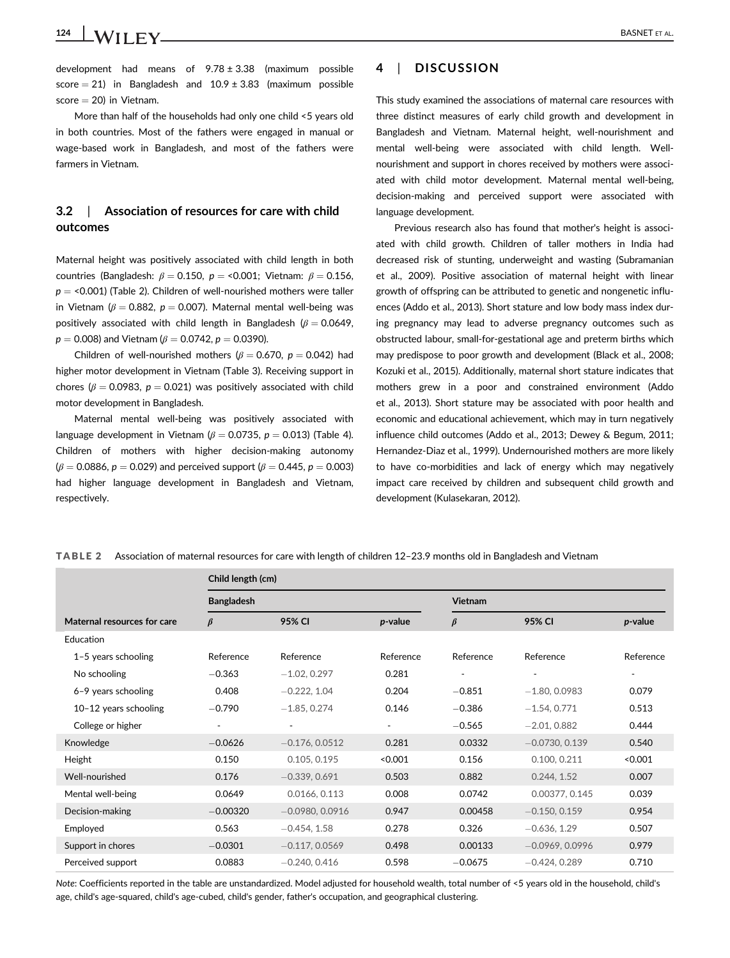124 BASNET ET AL.

development had means of  $9.78 \pm 3.38$  (maximum possible score  $= 21$ ) in Bangladesh and  $10.9 \pm 3.83$  (maximum possible  $score = 20$  in Vietnam.

More than half of the households had only one child <5 years old in both countries. Most of the fathers were engaged in manual or wage-based work in Bangladesh, and most of the fathers were farmers in Vietnam.

### 3.2 | Association of resources for care with child outcomes

Maternal height was positively associated with child length in both countries (Bangladesh:  $\beta = 0.150$ ,  $p = 0.001$ ; Vietnam:  $\beta = 0.156$ ,  $p =$  <0.001) (Table 2). Children of well-nourished mothers were taller in Vietnam ( $\beta = 0.882$ ,  $p = 0.007$ ). Maternal mental well-being was positively associated with child length in Bangladesh ( $\beta = 0.0649$ ,  $p = 0.008$ ) and Vietnam ( $\beta = 0.0742$ ,  $p = 0.0390$ ).

Children of well-nourished mothers ( $\beta = 0.670$ ,  $p = 0.042$ ) had higher motor development in Vietnam (Table 3). Receiving support in chores ( $\beta$  = 0.0983,  $p$  = 0.021) was positively associated with child motor development in Bangladesh.

Maternal mental well-being was positively associated with language development in Vietnam ( $\beta = 0.0735$ ,  $p = 0.013$ ) (Table 4). Children of mothers with higher decision-making autonomy  $(\beta = 0.0886, p = 0.029)$  and perceived support  $(\beta = 0.445, p = 0.003)$ had higher language development in Bangladesh and Vietnam, respectively.

### 4 | DISCUSSION

This study examined the associations of maternal care resources with three distinct measures of early child growth and development in Bangladesh and Vietnam. Maternal height, well-nourishment and mental well-being were associated with child length. Wellnourishment and support in chores received by mothers were associated with child motor development. Maternal mental well-being, decision-making and perceived support were associated with language development.

Previous research also has found that mother's height is associated with child growth. Children of taller mothers in India had decreased risk of stunting, underweight and wasting (Subramanian et al., 2009). Positive association of maternal height with linear growth of offspring can be attributed to genetic and nongenetic influences (Addo et al., 2013). Short stature and low body mass index during pregnancy may lead to adverse pregnancy outcomes such as obstructed labour, small-for-gestational age and preterm births which may predispose to poor growth and development (Black et al., 2008; Kozuki et al., 2015). Additionally, maternal short stature indicates that mothers grew in a poor and constrained environment (Addo et al., 2013). Short stature may be associated with poor health and economic and educational achievement, which may in turn negatively influence child outcomes (Addo et al., 2013; Dewey & Begum, 2011; Hernandez-Diaz et al., 1999). Undernourished mothers are more likely to have co-morbidities and lack of energy which may negatively impact care received by children and subsequent child growth and development (Kulasekaran, 2012).

TABLE 2 Association of maternal resources for care with length of children 12–23.9 months old in Bangladesh and Vietnam

|                             | Child length (cm)        |                   |           |                |                   |           |  |
|-----------------------------|--------------------------|-------------------|-----------|----------------|-------------------|-----------|--|
|                             | <b>Bangladesh</b>        |                   |           | <b>Vietnam</b> |                   |           |  |
| Maternal resources for care | $\beta$                  | 95% CI            | p-value   | $\beta$        | 95% CI            | p-value   |  |
| Education                   |                          |                   |           |                |                   |           |  |
| $1-5$ years schooling       | Reference                | Reference         | Reference | Reference      | Reference         | Reference |  |
| No schooling                | $-0.363$                 | $-1.02, 0.297$    | 0.281     | ٠              |                   | ۰.        |  |
| 6-9 years schooling         | 0.408                    | $-0.222, 1.04$    | 0.204     | $-0.851$       | $-1.80, 0.0983$   | 0.079     |  |
| 10-12 years schooling       | $-0.790$                 | $-1.85, 0.274$    | 0.146     | $-0.386$       | $-1.54, 0.771$    | 0.513     |  |
| College or higher           | $\overline{\phantom{a}}$ | $\sim$            | ۰.        | $-0.565$       | $-2.01, 0.882$    | 0.444     |  |
| Knowledge                   | $-0.0626$                | $-0.176, 0.0512$  | 0.281     | 0.0332         | $-0.0730, 0.139$  | 0.540     |  |
| Height                      | 0.150                    | 0.105, 0.195      | < 0.001   | 0.156          | 0.100, 0.211      | < 0.001   |  |
| Well-nourished              | 0.176                    | $-0.339, 0.691$   | 0.503     | 0.882          | 0.244, 1.52       | 0.007     |  |
| Mental well-being           | 0.0649                   | 0.0166, 0.113     | 0.008     | 0.0742         | 0.00377, 0.145    | 0.039     |  |
| Decision-making             | $-0.00320$               | $-0.0980, 0.0916$ | 0.947     | 0.00458        | $-0.150, 0.159$   | 0.954     |  |
| Employed                    | 0.563                    | $-0.454, 1.58$    | 0.278     | 0.326          | $-0.636, 1.29$    | 0.507     |  |
| Support in chores           | $-0.0301$                | $-0.117, 0.0569$  | 0.498     | 0.00133        | $-0.0969, 0.0996$ | 0.979     |  |
| Perceived support           | 0.0883                   | $-0.240, 0.416$   | 0.598     | $-0.0675$      | $-0.424, 0.289$   | 0.710     |  |

Note: Coefficients reported in the table are unstandardized. Model adjusted for household wealth, total number of <5 years old in the household, child's age, child's age-squared, child's age-cubed, child's gender, father's occupation, and geographical clustering.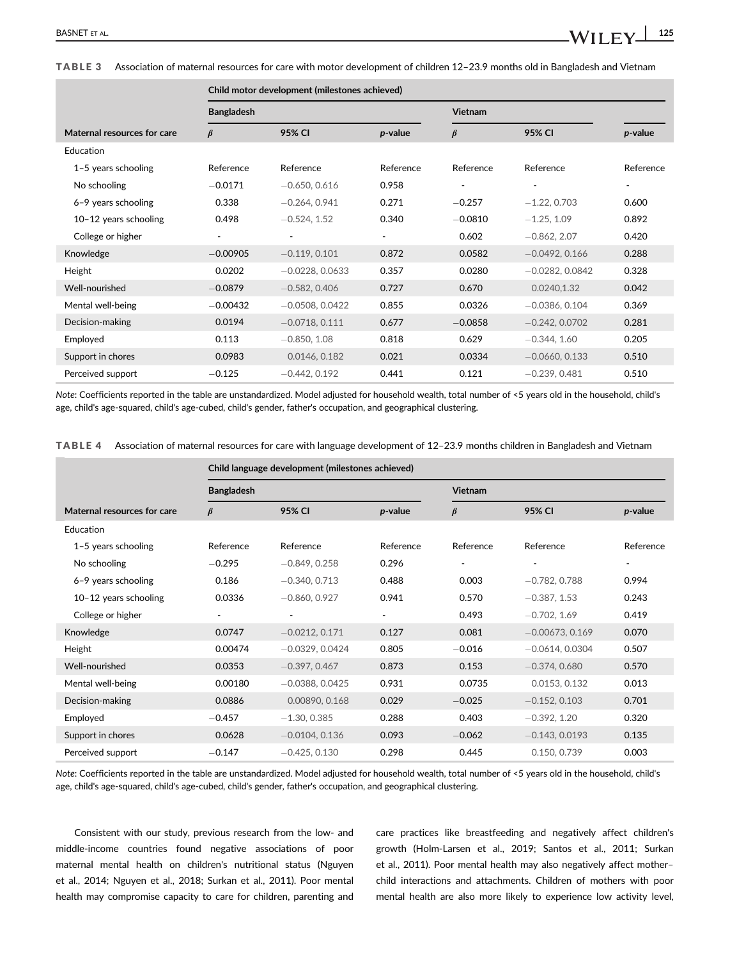TABLE 3 Association of maternal resources for care with motor development of children 12–23.9 months old in Bangladesh and Vietnam

|                             | Child motor development (milestones achieved) |                   |           |           |                          |           |  |
|-----------------------------|-----------------------------------------------|-------------------|-----------|-----------|--------------------------|-----------|--|
|                             | <b>Bangladesh</b>                             |                   |           | Vietnam   |                          |           |  |
| Maternal resources for care | $\beta$                                       | 95% CI            | p-value   | $\beta$   | 95% CI                   | p-value   |  |
| Education                   |                                               |                   |           |           |                          |           |  |
| $1-5$ years schooling       | Reference                                     | Reference         | Reference | Reference | Reference                | Reference |  |
| No schooling                | $-0.0171$                                     | $-0.650, 0.616$   | 0.958     |           | $\overline{\phantom{a}}$ | $\sim$    |  |
| 6-9 years schooling         | 0.338                                         | $-0.264, 0.941$   | 0.271     | $-0.257$  | $-1.22, 0.703$           | 0.600     |  |
| $10-12$ years schooling     | 0.498                                         | $-0.524, 1.52$    | 0.340     | $-0.0810$ | $-1.25, 1.09$            | 0.892     |  |
| College or higher           |                                               |                   |           | 0.602     | $-0.862, 2.07$           | 0.420     |  |
| Knowledge                   | $-0.00905$                                    | $-0.119, 0.101$   | 0.872     | 0.0582    | $-0.0492, 0.166$         | 0.288     |  |
| Height                      | 0.0202                                        | $-0.0228, 0.0633$ | 0.357     | 0.0280    | $-0.0282, 0.0842$        | 0.328     |  |
| Well-nourished              | $-0.0879$                                     | $-0.582, 0.406$   | 0.727     | 0.670     | 0.0240.1.32              | 0.042     |  |
| Mental well-being           | $-0.00432$                                    | $-0.0508, 0.0422$ | 0.855     | 0.0326    | $-0.0386, 0.104$         | 0.369     |  |
| Decision-making             | 0.0194                                        | $-0.0718, 0.111$  | 0.677     | $-0.0858$ | $-0.242, 0.0702$         | 0.281     |  |
| Employed                    | 0.113                                         | $-0.850, 1.08$    | 0.818     | 0.629     | $-0.344, 1.60$           | 0.205     |  |
| Support in chores           | 0.0983                                        | 0.0146, 0.182     | 0.021     | 0.0334    | $-0.0660, 0.133$         | 0.510     |  |
| Perceived support           | $-0.125$                                      | $-0.442, 0.192$   | 0.441     | 0.121     | $-0.239, 0.481$          | 0.510     |  |

Note: Coefficients reported in the table are unstandardized. Model adjusted for household wealth, total number of <5 years old in the household, child's age, child's age-squared, child's age-cubed, child's gender, father's occupation, and geographical clustering.

|  | TABLE 4 Association of maternal resources for care with language development of 12-23.9 months children in Bangladesh and Vietnam |  |  |  |  |  |
|--|-----------------------------------------------------------------------------------------------------------------------------------|--|--|--|--|--|
|--|-----------------------------------------------------------------------------------------------------------------------------------|--|--|--|--|--|

|                             | Child language development (milestones achieved) |                   |           |           |                          |           |  |  |
|-----------------------------|--------------------------------------------------|-------------------|-----------|-----------|--------------------------|-----------|--|--|
|                             | <b>Bangladesh</b>                                |                   |           |           | Vietnam                  |           |  |  |
| Maternal resources for care | $\beta$                                          | 95% CI            | p-value   | $\beta$   | 95% CI                   | p-value   |  |  |
| Education                   |                                                  |                   |           |           |                          |           |  |  |
| $1-5$ years schooling       | Reference                                        | Reference         | Reference | Reference | Reference                | Reference |  |  |
| No schooling                | $-0.295$                                         | $-0.849, 0.258$   | 0.296     | ٠         | $\overline{\phantom{a}}$ | $\sim$    |  |  |
| 6-9 years schooling         | 0.186                                            | $-0.340, 0.713$   | 0.488     | 0.003     | $-0.782, 0.788$          | 0.994     |  |  |
| $10-12$ years schooling     | 0.0336                                           | $-0.860, 0.927$   | 0.941     | 0.570     | $-0.387, 1.53$           | 0.243     |  |  |
| College or higher           |                                                  | ۰                 | ٠         | 0.493     | $-0.702, 1.69$           | 0.419     |  |  |
| Knowledge                   | 0.0747                                           | $-0.0212, 0.171$  | 0.127     | 0.081     | $-0.00673, 0.169$        | 0.070     |  |  |
| Height                      | 0.00474                                          | $-0.0329, 0.0424$ | 0.805     | $-0.016$  | $-0.0614, 0.0304$        | 0.507     |  |  |
| Well-nourished              | 0.0353                                           | $-0.397, 0.467$   | 0.873     | 0.153     | $-0.374, 0.680$          | 0.570     |  |  |
| Mental well-being           | 0.00180                                          | $-0.0388, 0.0425$ | 0.931     | 0.0735    | 0.0153, 0.132            | 0.013     |  |  |
| Decision-making             | 0.0886                                           | 0.00890, 0.168    | 0.029     | $-0.025$  | $-0.152, 0.103$          | 0.701     |  |  |
| Employed                    | $-0.457$                                         | $-1.30, 0.385$    | 0.288     | 0.403     | $-0.392, 1.20$           | 0.320     |  |  |
| Support in chores           | 0.0628                                           | $-0.0104, 0.136$  | 0.093     | $-0.062$  | $-0.143, 0.0193$         | 0.135     |  |  |
| Perceived support           | $-0.147$                                         | $-0.425, 0.130$   | 0.298     | 0.445     | 0.150, 0.739             | 0.003     |  |  |

Note: Coefficients reported in the table are unstandardized. Model adjusted for household wealth, total number of <5 years old in the household, child's age, child's age-squared, child's age-cubed, child's gender, father's occupation, and geographical clustering.

Consistent with our study, previous research from the low- and middle-income countries found negative associations of poor maternal mental health on children's nutritional status (Nguyen et al., 2014; Nguyen et al., 2018; Surkan et al., 2011). Poor mental health may compromise capacity to care for children, parenting and

care practices like breastfeeding and negatively affect children's growth (Holm-Larsen et al., 2019; Santos et al., 2011; Surkan et al., 2011). Poor mental health may also negatively affect mother– child interactions and attachments. Children of mothers with poor mental health are also more likely to experience low activity level,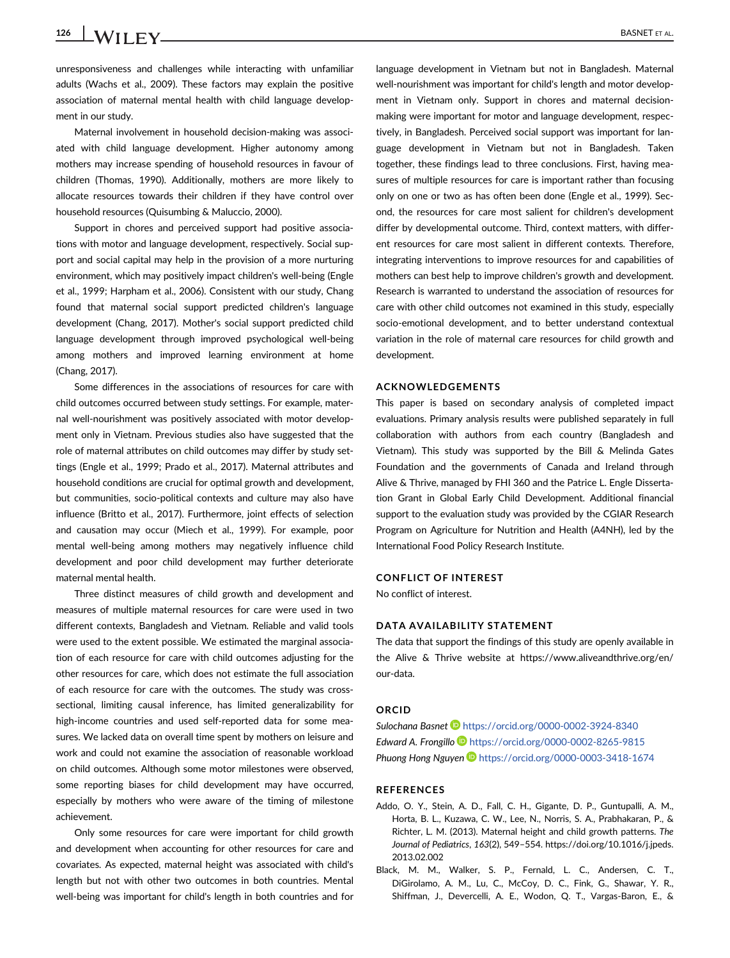126 BASNET ET AL.

unresponsiveness and challenges while interacting with unfamiliar adults (Wachs et al., 2009). These factors may explain the positive association of maternal mental health with child language development in our study.

Maternal involvement in household decision-making was associated with child language development. Higher autonomy among mothers may increase spending of household resources in favour of children (Thomas, 1990). Additionally, mothers are more likely to allocate resources towards their children if they have control over household resources (Quisumbing & Maluccio, 2000).

Support in chores and perceived support had positive associations with motor and language development, respectively. Social support and social capital may help in the provision of a more nurturing environment, which may positively impact children's well-being (Engle et al., 1999; Harpham et al., 2006). Consistent with our study, Chang found that maternal social support predicted children's language development (Chang, 2017). Mother's social support predicted child language development through improved psychological well-being among mothers and improved learning environment at home (Chang, 2017).

Some differences in the associations of resources for care with child outcomes occurred between study settings. For example, maternal well-nourishment was positively associated with motor development only in Vietnam. Previous studies also have suggested that the role of maternal attributes on child outcomes may differ by study settings (Engle et al., 1999; Prado et al., 2017). Maternal attributes and household conditions are crucial for optimal growth and development, but communities, socio-political contexts and culture may also have influence (Britto et al., 2017). Furthermore, joint effects of selection and causation may occur (Miech et al., 1999). For example, poor mental well-being among mothers may negatively influence child development and poor child development may further deteriorate maternal mental health.

Three distinct measures of child growth and development and measures of multiple maternal resources for care were used in two different contexts, Bangladesh and Vietnam. Reliable and valid tools were used to the extent possible. We estimated the marginal association of each resource for care with child outcomes adjusting for the other resources for care, which does not estimate the full association of each resource for care with the outcomes. The study was crosssectional, limiting causal inference, has limited generalizability for high-income countries and used self-reported data for some measures. We lacked data on overall time spent by mothers on leisure and work and could not examine the association of reasonable workload on child outcomes. Although some motor milestones were observed, some reporting biases for child development may have occurred, especially by mothers who were aware of the timing of milestone achievement.

Only some resources for care were important for child growth and development when accounting for other resources for care and covariates. As expected, maternal height was associated with child's length but not with other two outcomes in both countries. Mental well-being was important for child's length in both countries and for

language development in Vietnam but not in Bangladesh. Maternal well-nourishment was important for child's length and motor development in Vietnam only. Support in chores and maternal decisionmaking were important for motor and language development, respectively, in Bangladesh. Perceived social support was important for language development in Vietnam but not in Bangladesh. Taken together, these findings lead to three conclusions. First, having measures of multiple resources for care is important rather than focusing only on one or two as has often been done (Engle et al., 1999). Second, the resources for care most salient for children's development differ by developmental outcome. Third, context matters, with different resources for care most salient in different contexts. Therefore, integrating interventions to improve resources for and capabilities of mothers can best help to improve children's growth and development. Research is warranted to understand the association of resources for care with other child outcomes not examined in this study, especially socio-emotional development, and to better understand contextual variation in the role of maternal care resources for child growth and development.

#### ACKNOWLEDGEMENTS

This paper is based on secondary analysis of completed impact evaluations. Primary analysis results were published separately in full collaboration with authors from each country (Bangladesh and Vietnam). This study was supported by the Bill & Melinda Gates Foundation and the governments of Canada and Ireland through Alive & Thrive, managed by FHI 360 and the Patrice L. Engle Dissertation Grant in Global Early Child Development. Additional financial support to the evaluation study was provided by the CGIAR Research Program on Agriculture for Nutrition and Health (A4NH), led by the International Food Policy Research Institute.

#### CONFLICT OF INTEREST

No conflict of interest.

#### DATA AVAILABILITY STATEMENT

The data that support the findings of this study are openly available in the Alive & Thrive website at [https://www.aliveandthrive.org/en/](https://www.aliveandthrive.org/en/our-data) [our-data.](https://www.aliveandthrive.org/en/our-data)

#### **ORCID**

Sulochana Basnet <https://orcid.org/0000-0002-3924-8340> Edward A. Frongillo <https://orcid.org/0000-0002-8265-9815> Phuong Hong Nguyen <https://orcid.org/0000-0003-3418-1674>

#### REFERENCES

- Addo, O. Y., Stein, A. D., Fall, C. H., Gigante, D. P., Guntupalli, A. M., Horta, B. L., Kuzawa, C. W., Lee, N., Norris, S. A., Prabhakaran, P., & Richter, L. M. (2013). Maternal height and child growth patterns. The Journal of Pediatrics, 163(2), 549–554. [https://doi.org/10.1016/j.jpeds.](https://doi.org/10.1016/j.jpeds.2013.02.002) [2013.02.002](https://doi.org/10.1016/j.jpeds.2013.02.002)
- Black, M. M., Walker, S. P., Fernald, L. C., Andersen, C. T., DiGirolamo, A. M., Lu, C., McCoy, D. C., Fink, G., Shawar, Y. R., Shiffman, J., Devercelli, A. E., Wodon, Q. T., Vargas-Baron, E., &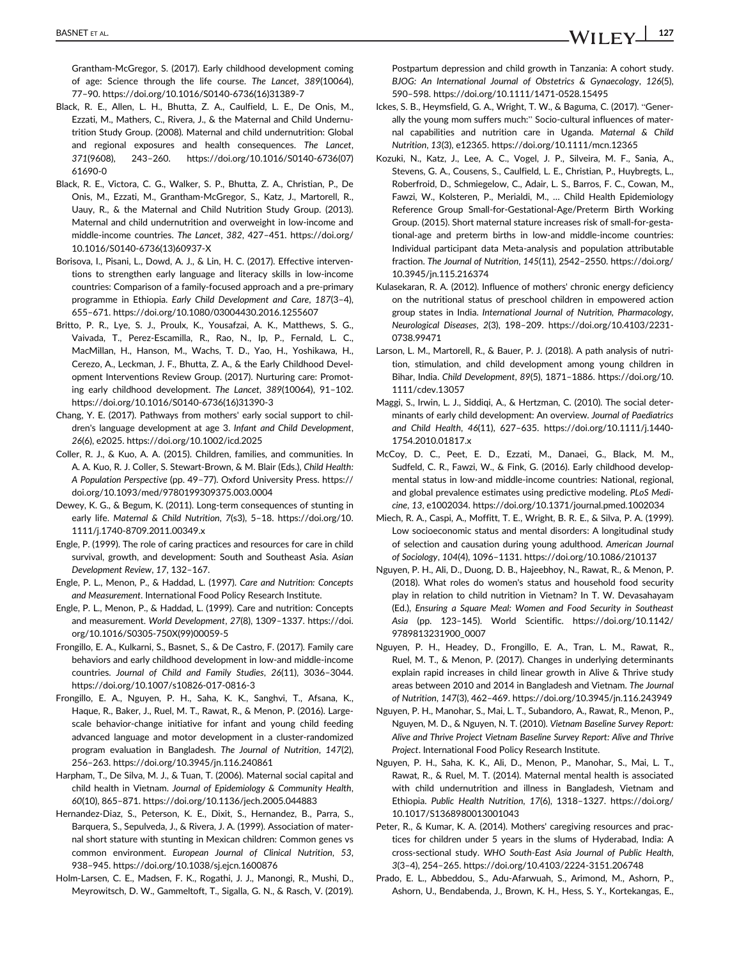BASNET ET AL.  $\blacksquare$  127

Grantham-McGregor, S. (2017). Early childhood development coming of age: Science through the life course. The Lancet, 389(10064), 77–90. [https://doi.org/10.1016/S0140-6736\(16\)31389-7](https://doi.org/10.1016/S0140-6736(16)31389-7)

- Black, R. E., Allen, L. H., Bhutta, Z. A., Caulfield, L. E., De Onis, M., Ezzati, M., Mathers, C., Rivera, J., & the Maternal and Child Undernutrition Study Group. (2008). Maternal and child undernutrition: Global and regional exposures and health consequences. The Lancet, 371(9608), 243–260. [https://doi.org/10.1016/S0140-6736\(07\)](https://doi.org/10.1016/S0140-6736(07)61690-0) [61690-0](https://doi.org/10.1016/S0140-6736(07)61690-0)
- Black, R. E., Victora, C. G., Walker, S. P., Bhutta, Z. A., Christian, P., De Onis, M., Ezzati, M., Grantham-McGregor, S., Katz, J., Martorell, R., Uauy, R., & the Maternal and Child Nutrition Study Group. (2013). Maternal and child undernutrition and overweight in low-income and middle-income countries. The Lancet, 382, 427–451. [https://doi.org/](https://doi.org/10.1016/S0140-6736(13)60937-X) [10.1016/S0140-6736\(13\)60937-X](https://doi.org/10.1016/S0140-6736(13)60937-X)
- Borisova, I., Pisani, L., Dowd, A. J., & Lin, H. C. (2017). Effective interventions to strengthen early language and literacy skills in low-income countries: Comparison of a family-focused approach and a pre-primary programme in Ethiopia. Early Child Development and Care, 187(3–4), 655–671.<https://doi.org/10.1080/03004430.2016.1255607>
- Britto, P. R., Lye, S. J., Proulx, K., Yousafzai, A. K., Matthews, S. G., Vaivada, T., Perez-Escamilla, R., Rao, N., Ip, P., Fernald, L. C., MacMillan, H., Hanson, M., Wachs, T. D., Yao, H., Yoshikawa, H., Cerezo, A., Leckman, J. F., Bhutta, Z. A., & the Early Childhood Development Interventions Review Group. (2017). Nurturing care: Promoting early childhood development. The Lancet, 389(10064), 91–102. [https://doi.org/10.1016/S0140-6736\(16\)31390-3](https://doi.org/10.1016/S0140-6736(16)31390-3)
- Chang, Y. E. (2017). Pathways from mothers' early social support to children's language development at age 3. Infant and Child Development, 26(6), e2025.<https://doi.org/10.1002/icd.2025>
- Coller, R. J., & Kuo, A. A. (2015). Children, families, and communities. In A. A. Kuo, R. J. Coller, S. Stewart-Brown, & M. Blair (Eds.), Child Health: A Population Perspective (pp. 49–77). Oxford University Press. [https://](https://doi.org/10.1093/med/9780199309375.003.0004) [doi.org/10.1093/med/9780199309375.003.0004](https://doi.org/10.1093/med/9780199309375.003.0004)
- Dewey, K. G., & Begum, K. (2011). Long-term consequences of stunting in early life. Maternal & Child Nutrition, 7(s3), 5–18. [https://doi.org/10.](https://doi.org/10.1111/j.1740-8709.2011.00349.x) [1111/j.1740-8709.2011.00349.x](https://doi.org/10.1111/j.1740-8709.2011.00349.x)
- Engle, P. (1999). The role of caring practices and resources for care in child survival, growth, and development: South and Southeast Asia. Asian Development Review, 17, 132–167.
- Engle, P. L., Menon, P., & Haddad, L. (1997). Care and Nutrition: Concepts and Measurement. International Food Policy Research Institute.
- Engle, P. L., Menon, P., & Haddad, L. (1999). Care and nutrition: Concepts and measurement. World Development, 27(8), 1309–1337. [https://doi.](https://doi.org/10.1016/S0305-750X(99)00059-5) [org/10.1016/S0305-750X\(99\)00059-5](https://doi.org/10.1016/S0305-750X(99)00059-5)
- Frongillo, E. A., Kulkarni, S., Basnet, S., & De Castro, F. (2017). Family care behaviors and early childhood development in low-and middle-income countries. Journal of Child and Family Studies, 26(11), 3036–3044. <https://doi.org/10.1007/s10826-017-0816-3>
- Frongillo, E. A., Nguyen, P. H., Saha, K. K., Sanghvi, T., Afsana, K., Haque, R., Baker, J., Ruel, M. T., Rawat, R., & Menon, P. (2016). Largescale behavior-change initiative for infant and young child feeding advanced language and motor development in a cluster-randomized program evaluation in Bangladesh. The Journal of Nutrition, 147(2), 256–263.<https://doi.org/10.3945/jn.116.240861>
- Harpham, T., De Silva, M. J., & Tuan, T. (2006). Maternal social capital and child health in Vietnam. Journal of Epidemiology & Community Health, 60(10), 865–871.<https://doi.org/10.1136/jech.2005.044883>
- Hernandez-Diaz, S., Peterson, K. E., Dixit, S., Hernandez, B., Parra, S., Barquera, S., Sepulveda, J., & Rivera, J. A. (1999). Association of maternal short stature with stunting in Mexican children: Common genes vs common environment. European Journal of Clinical Nutrition, 53, 938–945.<https://doi.org/10.1038/sj.ejcn.1600876>
- Holm-Larsen, C. E., Madsen, F. K., Rogathi, J. J., Manongi, R., Mushi, D., Meyrowitsch, D. W., Gammeltoft, T., Sigalla, G. N., & Rasch, V. (2019).

Postpartum depression and child growth in Tanzania: A cohort study. BJOG: An International Journal of Obstetrics & Gynaecology, 126(5), 590–598.<https://doi.org/10.1111/1471-0528.15495>

- Ickes, S. B., Heymsfield, G. A., Wright, T. W., & Baguma, C. (2017). "Generally the young mom suffers much:" Socio-cultural influences of maternal capabilities and nutrition care in Uganda. Maternal & Child Nutrition, 13(3), e12365.<https://doi.org/10.1111/mcn.12365>
- Kozuki, N., Katz, J., Lee, A. C., Vogel, J. P., Silveira, M. F., Sania, A., Stevens, G. A., Cousens, S., Caulfield, L. E., Christian, P., Huybregts, L., Roberfroid, D., Schmiegelow, C., Adair, L. S., Barros, F. C., Cowan, M., Fawzi, W., Kolsteren, P., Merialdi, M., … Child Health Epidemiology Reference Group Small-for-Gestational-Age/Preterm Birth Working Group. (2015). Short maternal stature increases risk of small-for-gestational-age and preterm births in low-and middle-income countries: Individual participant data Meta-analysis and population attributable fraction. The Journal of Nutrition, 145(11), 2542–2550. [https://doi.org/](https://doi.org/10.3945/jn.115.216374) [10.3945/jn.115.216374](https://doi.org/10.3945/jn.115.216374)
- Kulasekaran, R. A. (2012). Influence of mothers' chronic energy deficiency on the nutritional status of preschool children in empowered action group states in India. International Journal of Nutrition, Pharmacology, Neurological Diseases, 2(3), 198–209. [https://doi.org/10.4103/2231-](https://doi.org/10.4103/2231-0738.99471) [0738.99471](https://doi.org/10.4103/2231-0738.99471)
- Larson, L. M., Martorell, R., & Bauer, P. J. (2018). A path analysis of nutrition, stimulation, and child development among young children in Bihar, India. Child Development, 89(5), 1871–1886. [https://doi.org/10.](https://doi.org/10.1111/cdev.13057) [1111/cdev.13057](https://doi.org/10.1111/cdev.13057)
- Maggi, S., Irwin, L. J., Siddiqi, A., & Hertzman, C. (2010). The social determinants of early child development: An overview. Journal of Paediatrics and Child Health, 46(11), 627–635. [https://doi.org/10.1111/j.1440-](https://doi.org/10.1111/j.1440-1754.2010.01817.x) [1754.2010.01817.x](https://doi.org/10.1111/j.1440-1754.2010.01817.x)
- McCoy, D. C., Peet, E. D., Ezzati, M., Danaei, G., Black, M. M., Sudfeld, C. R., Fawzi, W., & Fink, G. (2016). Early childhood developmental status in low-and middle-income countries: National, regional, and global prevalence estimates using predictive modeling. PLoS Medicine, 13, e1002034.<https://doi.org/10.1371/journal.pmed.1002034>
- Miech, R. A., Caspi, A., Moffitt, T. E., Wright, B. R. E., & Silva, P. A. (1999). Low socioeconomic status and mental disorders: A longitudinal study of selection and causation during young adulthood. American Journal of Sociology, 104(4), 1096–1131.<https://doi.org/10.1086/210137>
- Nguyen, P. H., Ali, D., Duong, D. B., Hajeebhoy, N., Rawat, R., & Menon, P. (2018). What roles do women's status and household food security play in relation to child nutrition in Vietnam? In T. W. Devasahayam (Ed.), Ensuring a Square Meal: Women and Food Security in Southeast Asia (pp. 123–145). World Scientific. [https://doi.org/10.1142/](https://doi.org/10.1142/9789813231900_0007) [9789813231900\\_0007](https://doi.org/10.1142/9789813231900_0007)
- Nguyen, P. H., Headey, D., Frongillo, E. A., Tran, L. M., Rawat, R., Ruel, M. T., & Menon, P. (2017). Changes in underlying determinants explain rapid increases in child linear growth in Alive & Thrive study areas between 2010 and 2014 in Bangladesh and Vietnam. The Journal of Nutrition, 147(3), 462–469.<https://doi.org/10.3945/jn.116.243949>
- Nguyen, P. H., Manohar, S., Mai, L. T., Subandoro, A., Rawat, R., Menon, P., Nguyen, M. D., & Nguyen, N. T. (2010). Vietnam Baseline Survey Report: Alive and Thrive Project Vietnam Baseline Survey Report: Alive and Thrive Project. International Food Policy Research Institute.
- Nguyen, P. H., Saha, K. K., Ali, D., Menon, P., Manohar, S., Mai, L. T., Rawat, R., & Ruel, M. T. (2014). Maternal mental health is associated with child undernutrition and illness in Bangladesh, Vietnam and Ethiopia. Public Health Nutrition, 17(6), 1318–1327. [https://doi.org/](https://doi.org/10.1017/S1368980013001043) [10.1017/S1368980013001043](https://doi.org/10.1017/S1368980013001043)
- Peter, R., & Kumar, K. A. (2014). Mothers' caregiving resources and practices for children under 5 years in the slums of Hyderabad, India: A cross-sectional study. WHO South-East Asia Journal of Public Health, 3(3–4), 254–265.<https://doi.org/10.4103/2224-3151.206748>
- Prado, E. L., Abbeddou, S., Adu-Afarwuah, S., Arimond, M., Ashorn, P., Ashorn, U., Bendabenda, J., Brown, K. H., Hess, S. Y., Kortekangas, E.,